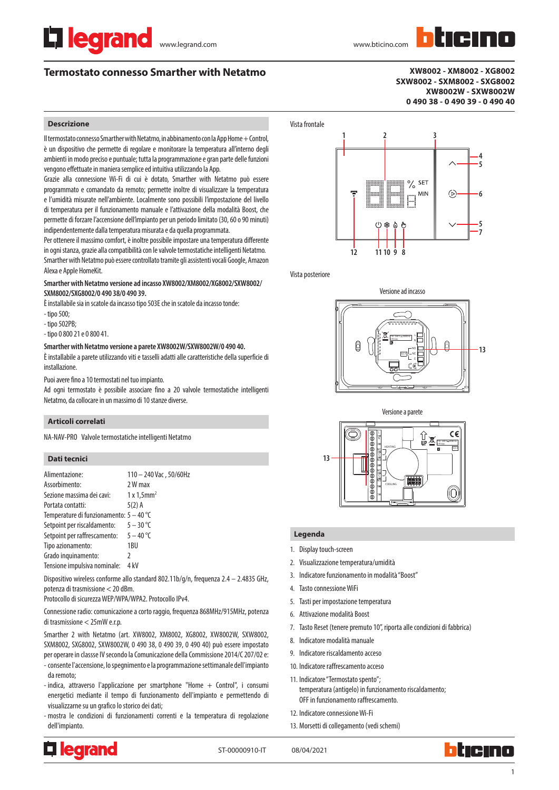# **Termostato connesso Smarther with Netatmo**

**XW8002 - XM8002 - XG8002 SXW8002 - SXM8002 - SXG8002 XW8002W - SXW8002W 0 490 38 - 0 490 39 - 0 490 40**

# **Descrizione**

Il termostato connesso Smarther with Netatmo, in abbinamento con la App Home + Control, è un dispositivo che permette di regolare e monitorare la temperatura all'interno degli ambienti in modo preciso e puntuale; tutta la programmazione e gran parte delle funzioni vengono effettuate in maniera semplice ed intuitiva utilizzando la App.

Grazie alla connessione Wi-Fi di cui è dotato, Smarther with Netatmo può essere programmato e comandato da remoto; permette inoltre di visualizzare la temperatura e l'umidità misurate nell'ambiente. Localmente sono possibili l'impostazione del livello di temperatura per il funzionamento manuale e l'attivazione della modalità Boost, che permette di forzare l'accensione dell'impianto per un periodo limitato (30, 60 o 90 minuti) indipendentemente dalla temperatura misurata e da quella programmata.

Per ottenere il massimo comfort, è inoltre possibile impostare una temperatura differente in ogni stanza, grazie alla compatibilità con le valvole termostatiche intelligenti Netatmo. Smarther with Netatmo può essere controllato tramite gli assistenti vocali Google, Amazon Alexa e Apple HomeKit.

# **Smarther with Netatmo versione ad incasso XW8002/XM8002/XG8002/SXW8002/ SXM8002/SXG8002/0 490 38/0 490 39.**

È installabile sia in scatole da incasso tipo 503E che in scatole da incasso tonde:

- tipo 500;
- tipo 502PB;
- tipo 0 800 21 e 0 800 41.

## **Smarther with Netatmo versione a parete XW8002W/SXW8002W/0 490 40.**

È installabile a parete utilizzando viti e tasselli adatti alle caratteristiche della superficie di installazione.

Puoi avere fino a 10 termostati nel tuo impianto.

Ad ogni termostato è possibile associare fino a 20 valvole termostatiche intelligenti Netatmo, da collocare in un massimo di 10 stanze diverse.

# **Articoli correlati**

NA-NAV-PRO Valvole termostatiche intelligenti Netatmo

# **Dati tecnici**

| Alimentazione:                            | 110 - 240 Vac, 50/60Hz |
|-------------------------------------------|------------------------|
| Assorbimento:                             | 2 W max                |
| Sezione massima dei cavi:                 | 1x1.5mm <sup>2</sup>   |
| Portata contatti:                         | $5(2)$ A               |
| Temperature di funzionamento: $5 - 40$ °C |                        |
| Setpoint per riscaldamento:               | $5 - 30$ °C            |
| Setpoint per raffrescamento: $5 - 40$ °C  |                        |
| Tipo azionamento:                         | 1BU                    |
| Grado inquinamento:                       | 7                      |
| Tensione impulsiva nominale:              | 4 kV                   |

Dispositivo wireless conforme allo standard 802.11b/g/n, frequenza 2.4 – 2.4835 GHz, potenza di trasmissione < 20 dBm.

Protocollo di sicurezza WEP/WPA/WPA2. Protocollo IPv4.

Connessione radio: comunicazione a corto raggio, frequenza 868MHz/915MHz, potenza di trasmissione < 25mW e.r.p.

Smarther 2 with Netatmo (art. XW8002, XM8002, XG8002, XW8002W, SXW8002, SXM8002, SXG8002, SXW8002W, 0 490 38, 0 490 39, 0 490 40) può essere impostato per operare in classse IV secondo la Comunicazione della Commissione 2014/C 207/02 e:

- consente l'accensione, lo spegnimento e la programmazione settimanale dell'impianto da remoto;
- indica, attraverso l'applicazione per smartphone "Home + Control", i consumi energetici mediante il tempo di funzionamento dell'impianto e permettendo di visualizzarne su un grafico lo storico dei dati;
- mostra le condizioni di funzionamenti correnti e la temperatura di regolazione dell'impianto.



Vista posteriore





## **Legenda**

- 1. Display touch-screen
- 2. Visualizzazione temperatura/umidità
- 3. Indicatore funzionamento in modalità "Boost"
- 4. Tasto connessione WiFi
- 5. Tasti per impostazione temperatura
- 6. Attivazione modalità Boost
- 7. Tasto Reset (tenere premuto 10", riporta alle condizioni di fabbrica)
- 8. Indicatore modalità manuale
- 9. Indicatore riscaldamento acceso
- 10. Indicatore raffrescamento acceso
- 11. Indicatore "Termostato spento"; temperatura (antigelo) in funzionamento riscaldamento; OFF in funzionamento raffrescamento.
- 12. Indicatore connessione Wi-Fi
- 13. Morsetti di collegamento (vedi schemi)



ST-00000910-IT 08/04/2021

1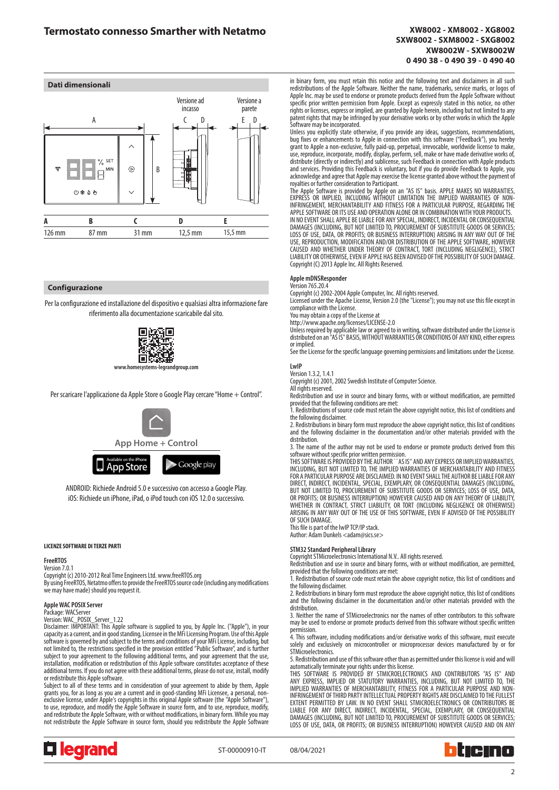

## **Configurazione**

Per la configurazione ed installazione del dispositivo e qualsiasi altra informazione fare riferimento alla documentazione scaricabile dal sito.



Per scaricare l'applicazione da Apple Store o Google Play cercare "Home + Control".



ANDROID: Richiede Android 5.0 e successivo con accesso a Google Play. iOS: Richiede un iPhone, iPad, o iPod touch con iOS 12.0 o successivo.

#### **LICENZE SOFTWARE DI TERZE PARTI**

## **FreeRTOS**

Version 7.0.1

Copyright (c) 2010-2012 Real Time Engineers Ltd. www.freeRTOS.org By using FreeRTOS, Netatmo offers to provide the FreeRTOS source code (including any modifications we may have made) should you request it.

## **Apple WAC POSIX Server**

Package: WACServer Version: WAC\_POSIX\_Server\_1.22

Disclaimer: IMPORTANT: This Apple software is supplied to you, by Apple Inc. ("Apple"), in your capacity as a current, and in good standing, Licensee in the MFi Licensing Program. Use of this Apple software is governed by and subject to the terms and conditions of your MFi License, including, but not limited to, the restrictions specified in the provision entitled "Public Software", and is further subject to your agreement to the following additional terms, and your agreement that the use, installation, modification or redistribution of this Apple software constitutes acceptance of these additional terms. If you do not agree with these additional terms, please do not use, install, modify or redistribute this Apple software.

Subject to all of these terms and in consideration of your agreement to abide by them, Apple grants you, for as long as you are a current and in good-standing MFi Licensee, a personal, nonexclusive license, under Apple's copyrights in this original Apple software (the "Apple Software"), to use, reproduce, and modify the Apple Software in source form, and to use, reproduce, modify, and redistribute the Apple Software, with or without modifications, in binary form. While you may not redistribute the Apple Software in source form, should you redistribute the Apple Software



ST-00000910-IT 08/04/2021



in binary form, you must retain this notice and the following text and disclaimers in all such redistributions of the Apple Software. Neither the name, trademarks, service marks, or logos of Apple Inc. may be used to endorse or promote products derived from the Apple Software without specific prior written permission from Apple. Except as expressly stated in this notice, no other rights or licenses, express or implied, are granted by Apple herein, including but not limited to any patent rights that may be infringed by your derivative works or by other works in which the Apple Software may be incorporated.

Unless you explicitly state otherwise, if you provide any ideas, suggestions, recommendations, bug fixes or enhancements to Apple in connection with this software ("Feedback"), you hereby grant to Apple a non-exclusive, fully paid-up, perpetual, irrevocable, worldwide license to make, use, reproduce, incorporate, modify, display, perform, sell, make or have made derivative works of, distribute (directly or indirectly) and sublicense, such Feedback in connection with Apple products and services. Providing this Feedback is voluntary, but if you do provide Feedback to Apple, you acknowledge and agree that Apple may exercise the license granted above without the payment of royalties or further consideration to Participant.

The Apple Software is provided by Apple on an "AS IS" basis. APPLE MAKES NO WARRANTIES,<br>EXPRESS OR IMPLIED, INCLUDING WITHOUT LIMITATION THE IMPLIED WARRANTIES OF NON-INFRINGEMENT, MERCHANTABILITY AND FITNESS FOR A PARTICULAR PURPOSE, REGARDING THE APPLE SOFTWARE OR ITS USE AND OPERATION ALONE OR IN COMBINATION WITH YOUR PRODUCTS.<br>IN NO EVENT SHALL APPLE BE LIABLE FOR ANY SPECIAL, INDIRECT, INCIDENTAL OR CONSEQUENTIAL DAMAGES (INCLUDING, BUT NOT LIMITED TO, PROCUREMENT OF SUBSTITUTE GOODS OR SERVICES; LOSS OF USE, DATA, OR PROFITS; OR BUSINESS INTERRUPTION) ARISING IN ANY WAY OUT OF THE USE, REPRODUCTION, MODIFICATION AND/OR DISTRIBUTION OF THE APPLE SOFTWARE, HOWEVER CAUSED AND WHETHER UNDER THEORY OF CONTRACT, TORT (INCLUDING NEGLIGENCE), STRICT LIABILITY OR OTHERWISE, EVEN IF APPLE HAS BEEN ADVISED OF THE POSSIBILITY OF SUCH DAMAGE. Copyright (C) 2013 Apple Inc. All Rights Reserved.

#### **Apple mDNSResponder** Version 765.20.4

Copyright (c) 2002-2004 Apple Computer, Inc. All rights reserved.

Licensed under the Apache License, Version 2.0 (the "License"); you may not use this file except in compliance with the License.

You may obtain a copy of the License at

http://www.apache.org/licenses/LICENSE-2.0 Unless required by applicable law or agreed to in writing, software distributed under the License is distributed on an "AS IS" BASIS, WITHOUT WARRANTIES OR CONDITIONS OF ANY KIND, either express or implied.

See the License for the specific language governing permissions and limitations under the License.

# **LwIP**

Version 1.3.2, 1.4.1 Copyright (c) 2001, 2002 Swedish Institute of Computer Science.

All rights reserved.

Redistribution and use in source and binary forms, with or without modification, are permitted provided that the following conditions are met:

1. Redistributions of source code must retain the above copyright notice, this list of conditions and the following disclaimer.

2. Redistributions in binary form must reproduce the above copyright notice, this list of conditions and the following disclaimer in the documentation and/or other materials provided with the distribution.

3. The name of the author may not be used to endorse or promote products derived from this

software without specific prior written permission. THIS SOFTWARE IS PROVIDED BY THE AUTHOR ``AS IS'' AND ANY EXPRESS OR IMPLIED WARRANTIES, INCLUDING, BUT NOT LIMITED TO, THE IMPLIED WARRANTIES OF MERCHANTABILITY AND FITNESS FOR A PARTICULAR PURPOSE ARE DISCLAIMED. IN NO EVENT SHALL THE AUTHOR BE LIABLE FOR ANY DIRECT, INDIRECT, INCIDENTAL, SPECIAL, EXEMPLARY, OR CONSEQUENTIAL DAMAGES (INCLUDING, BUT NOT LIMITED TO, PROCUREMENT OF SUBSTITUTE GOODS OR SERVICES; LOSS OF USE, DATA, OR PROFITS; OR BUSINESS INTERRUPTION) HOWEVER CAUSED AND ON ANY THEORY OF LIABILITY, WHETHER IN CONTRACT, STRICT LIABILITY, OR TORT (INCLUDING NEGLIGENCE OR OTHERWISE) ARISING IN ANY WAY OUT OF THE USE OF THIS SOFTWARE, EVEN IF ADVISED OF THE POSSIBILITY OF SUCH DAMAGE.

This file is part of the lwIP TCP/IP stack. Author: Adam Dunkels <adam@sics.se>

# **STM32 Standard Peripheral Library**

Copyright STMicroelectronics International N.V.. All rights reserved.

Redistribution and use in source and binary forms, with or without modification, are permitted, provided that the following conditions are met:

1. Redistribution of source code must retain the above copyright notice, this list of conditions and

the following disclaimer. 2. Redistributions in binary form must reproduce the above copyright notice, this list of conditions and the following disclaimer in the documentation and/or other materials provided with the distribution.

3. Neither the name of STMicroelectronics nor the names of other contributors to this software may be used to endorse or promote products derived from this software without specific written permission.

4. This software, including modifications and/or derivative works of this software, must execute solely and exclusively on microcontroller or microprocessor devices manufactured by or for STMicroelectronics.

5. Redistribution and use of this software other than as permitted under this license is void and will

automatically terminate your rights under this license. THIS SOFTWARE IS PROVIDED BY STMICROELECTRONICS AND CONTRIBUTORS "AS IS" AND ANY EXPRESS, IMPLIED OR STATUTORY WARRANTIES, INCLUDING, BUT NOT LIMITED TO, THE IMPLIED WARRANTIES OF MERCHANTABILITY, FITNESS FOR A PARTICULAR PURPOSE AND NON-INFRINGEMENT OF THIRD PARTY INTELLECTUAL PROPERTY RIGHTS ARE DISCLAIMED TO THE FULLEST EXTENT PERMITTED BY LAW. IN NO EVENT SHALL STMICROELECTRONICS OR CONTRIBUTORS BE LIABLE FOR ANY DIRECT, INDIRECT, INCIDENTAL, SPECIAL, EXEMPLARY, OR CONSEQUENTIAL DAMAGES (INCLUDING, BUT NOT LIMITED TO, PROCUREMENT OF SUBSTITUTE GOODS OR SERVICES; LOSS OF USE, DATA, OR PROFITS; OR BUSINESS INTERRUPTION) HOWEVER CAUSED AND ON ANY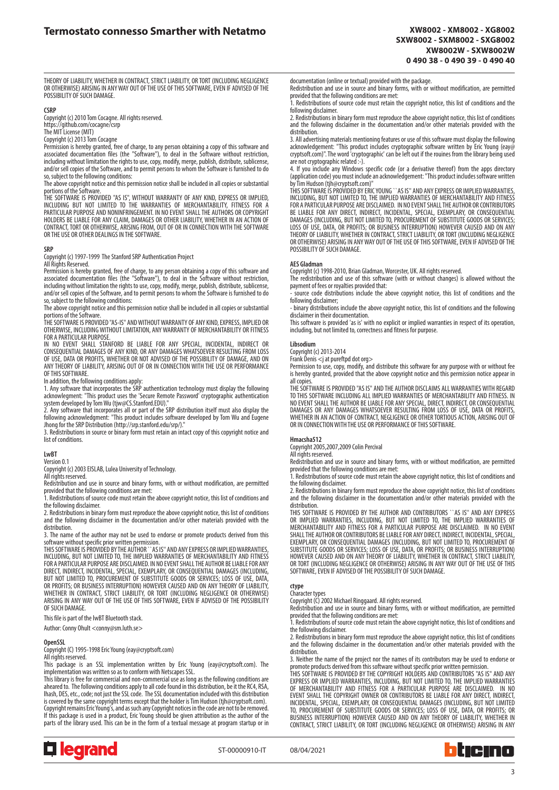THEORY OF LIABILITY, WHETHER IN CONTRACT, STRICT LIABILITY, OR TORT (INCLUDING NEGLIGENCE OR OTHERWISE) ARISING IN ANY WAY OUT OF THE USE OF THIS SOFTWARE, EVEN IF ADVISED OF THE POSSIBILITY OF SUCH DAMAGE.

#### **CSRP**

Copyright (c) 2010 Tom Cocagne. All rights reserved. https://github.com/cocagne/csrp

The MIT License (MIT)

Copyright (c) 2013 Tom Cocagne

Permission is hereby granted, free of charge, to any person obtaining a copy of this software and associated documentation files (the "Software"), to deal in the Software without restriction, including without limitation the rights to use, copy, modify, merge, publish, distribute, sublicense, and/or sell copies of the Software, and to permit persons to whom the Software is furnished to do so, subject to the following conditions:

The above copyright notice and this permission notice shall be included in all copies or substantial

portions of the Software.<br>THE SOFTWARE IS PROVIDED "AS IS", WITHOUT WARRANTY OF ANY KIND, EXPRESS OR IMPLIED,<br>INCLUDING BUT NOT LIMITED TO THE WARRANTIES OF MERCHANTABILITY, FITNESS FOR A PARTICULAR PURPOSE AND NONINFRINGEMENT. IN NO EVENT SHALL THE AUTHORS OR COPYRIGHT HOLDERS BE LIABLE FOR ANY CLAIM, DAMAGES OR OTHER LIABILITY, WHETHER IN AN ACTION OF CONTRACT, TORT OR OTHERWISE, ARISING FROM, OUT OF OR IN CONNECTION WITH THE SOFTWARE OR THE USE OR OTHER DEALINGS IN THE SOFTWARE.

#### **SRP**

Copyright (c) 1997-1999 The Stanford SRP Authentication Project

All Rights Reserved.

Permission is hereby granted, free of charge, to any person obtaining a copy of this software and associated documentation files (the "Software"), to deal in the Software without restriction, including without limitation the rights to use, copy, modify, merge, publish, distribute, sublicense, and/or sell copies of the Software, and to permit persons to whom the Software is furnished to do so, subject to the following conditions:

The above copyright notice and this permission notice shall be included in all copies or substantial portions of the Software

THE SOFTWARE IS PROVIDED "AS-IS" AND WITHOUT WARRANTY OF ANY KIND, EXPRESS, IMPLIED OR OTHERWISE, INCLUDING WITHOUT LIMITATION, ANY WARRANTY OF MERCHANTABILITY OR FITNESS FOR A PARTICULAR PURPOSE

IN NO EVENT SHALL STANFORD BE LIABLE FOR ANY SPECIAL, INCIDENTAL, INDIRECT OR CONSEQUENTIAL DAMAGES OF ANY KIND, OR ANY DAMAGES WHATSOEVER RESULTING FROM LOSS<br>OF USE, DATA OR PROFITS, WHETHER OR NOT ADVISED OF THE POSSIBILITY OF DAMAGE, AND ON<br>ANY THEORY OF LIABILITY, ARISING OUT OF OR IN CONNECTION OF THIS SOFTWARE.

In addition, the following conditions apply:<br>1. Any software that incorporates the SRP authentication technology must display the following<br>acknowlegment: "This product uses the 'Secure Remote Password' cryptographic authe system developed by Tom Wu (tjw@CS.Stanford.EDU)."

2. Any software that incorporates all or part of the SRP distribution itself must also display the following acknowledgment: "This product includes software developed by Tom Wu and Eugene<br>Jhong for the SRP Distribution (http://srp.stanford.edu/srp/)."<br>3. Redistributions in source or binary form must retain an intact cop

list of conditions.

### **LwBT**

Version 0.1

Copyright (c) 2003 EISLAB, Lulea University of Technology.

All rights reserved. Redistribution and use in source and binary forms, with or without modification, are permitted provided that the following conditions are met:

1. Redistributions of source code must retain the above copyright notice, this list of conditions and the following disclaimer.

2. Redistributions in binary form must reproduce the above copyright notice, this list of conditions and the following disclaimer in the documentation and/or other materials provided with the distribution.

3. The name of the author may not be used to endorse or promote products derived from this software without specific prior written permission.

THIS SOFTWARE IS PROVIDED BY THE AUTHOR``AS IS" AND ANY EXPRESS OR IMPLIED WARRANTIES,<br>INCLUDING, BUT NOT LIMITED TO, THE IMPLIED WARRANTIES OF MERCHANTABILITY AND FITNESS FOR A PARTICULAR PURPOSE ARE DISCLAIMED. IN NO EVENT SHALL THE AUTHOR BE LIABLE FOR ANY DIRECT, INDIRECT, INCIDENTAL, SPECIAL, EXEMPLARY, OR CONSEQUENTIAL DAMAGES (INCLUDING, BUT NOT LIMITED TO, PROCUREMENT OF SUBSTITUTE GOODS OR SERVICES; LOSS OF USE, DATA, OR PROFITS; OR BUSINESS INTERRUPTION) HOWEVER CAUSED AND ON ANY THEORY OF LIABILITY, WHETHER IN CONTRACT, STRICT LIABILITY, OR TORT (INCLUDING NEGLIGENCE OR OTHERWISE) ARISING IN ANY WAY OUT OF THE USE OF THIS SOFTWARE, EVEN IF ADVISED OF THE POSSIBILITY OF SUCH DAMAGE.

This file is part of the lwBT Bluetooth stack.

Author: Conny Ohult <conny@sm.luth.se>

#### **OpenSSL**

Copyright (C) 1995-1998 Eric Young (eay@cryptsoft.com)

### All rights reserved.

This package is an SSL implementation written by Eric Young (eay@cryptsoft.com). The implementation was written so as to conform with Netscapes SSL. This library is free for commercial and non-commercial use as long as the following conditions are

aheared to. The following conditions apply to all code found in this distribution, be it the RC4, RSA, lhash, DES, etc., code; not just the SSL code. The SSL documentation included with this distribution is covered by the same copyright terms except that the holder is Tim Hudson (tjh@cryptsoft.com). Copyright remains Eric Young's, and as such any Copyright notices in the code are not to be removed. If this package is used in a product, Eric Young should be given attribution as the author of the parts of the library used. This can be in the form of a textual message at program startup or in



documentation (online or textual) provided with the package.

Redistribution and use in source and binary forms, with or without modification, are permitted provided that the following conditions are met:

1. Redistributions of source code must retain the copyright notice, this list of conditions and the following disclaimer

2. Redistributions in binary form must reproduce the above copyright notice, this list of conditions and the following disclaimer in the documentation and/or other materials provided with the distribution.

3. All advertising materials mentioning features or use of this software must display the following acknowledgement: "This product includes cryptographic software written by Eric Young (eay@ cryptsoft.com)". The word 'cryptographic' can be left out if the rouines from the library being used are not cryptographic related :-).

4. If you include any Windows specific code (or a derivative thereof) from the apps directory (application code) you must include an acknowledgement: "This product includes software written by Tim Hudson (tjh@cryptsoft.com)"

THIS SOFTWARE IS PROVIDED BY ERIC YOUNG ``AS IS" AND ANY EXPRESS OR IMPLIED WARRANTIES,<br>INCLUDING, BUT NOT LIMITED TO, THE IMPLIED WARRANTIES OF MERCHANTABILITY AND FITNESS FOR A PARTICULAR PURPOSE ARE DISCLAIMED. IN NO EVENT SHALL THE AUTHOR OR CONTRIBUTORS BE LIABLE FOR ANY DIRECT, INDIRECT, INCIDENTAL, SPECIAL, EXEMPLARY, OR CONSEQUENTIAL<br>DAMAGES (INCLUDING, BUT NOT LIMITED TO, PROCUREMENT OF SUBSTITUTE GOODS OR SERVICES;<br>LOSS OF USE, DATA, OR PROFITS; OR BUSINESS INTERRUPT THEORY OF LIABILITY, WHETHER IN CONTRACT, STRICT LIABILITY, OR TORT (INCLUDING NEGLIGENCE OR OTHERWISE) ARISING IN ANY WAY OUT OF THE USE OF THIS SOFTWARE, EVEN IF ADVISED OF THE POSSIBILITY OF SUCH DAMAGE.

#### **AES Gladman**

Copyright (c) 1998-2010, Brian Gladman, Worcester, UK. All rights reserved.

The redistribution and use of this software (with or without changes) is allowed without the payment of fees or royalties provided that: - source code distributions include the above copyright notice, this list of conditions and the

following disclaimer;

- binary distributions include the above copyright notice, this list of conditions and the following disclaimer in their documentation.

This software is provided 'as is' with no explicit or implied warranties in respect of its operation, including, but not limited to, correctness and fitness for purpose.

## **Libsodium**

Copyright (c) 2013-2014

Frank Denis <j at pureftpd dot org> Permission to use, copy, modify, and distribute this software for any purpose with or without fee is hereby granted, provided that the above copyright notice and this permission notice appear in all copies.

THE SOFTWARE IS PROVIDED "AS IS" AND THE AUTHOR DISCLAIMS ALL WARRANTIES WITH REGARD TO THIS SOFTWARE INCLUDING ALL IMPLIED WARRANTIES OF MERCHANTABILITY AND FITNESS. IN NO EVENT SHALL THE AUTHOR BE LIABLE FOR ANY SPECIAL, DIRECT, INDIRECT, OR CONSEQUENTIAL DAMAGES OR ANY DAMAGES WHATSOEVER RESULTING FROM LOSS OF USE, DATA OR PROFITS, WHETHER IN AN ACTION OF CONTRACT, NEGLIGENCE OR OTHER TORTIOUS ACTION, ARISING OUT OF OR IN CONNECTION WITH THE USE OR PERFORMANCE OF THIS SOFTWARE.

## **Hmacsha512**

Copyright 2005,2007,2009 Colin Percival

All rights reserved. Redistribution and use in source and binary forms, with or without modification, are permitted provided that the following conditions are met:

1. Redistributions of source code must retain the above copyright notice, this list of conditions and the following disclaimer.

2. Redistributions in binary form must reproduce the above copyright notice, this list of conditions and the following disclaimer in the documentation and/or other materials provided with the distribution.

THIS SOFTWARE IS PROVIDED BY THE AUTHOR AND CONTRIBUTORS ``AS IS'' AND ANY EXPRESS<br>OR IMPLIED WARRANTIES, INCLUDING, BUT NOT LIMITED TO, THE IMPLIED WARRANTIES OF<br>MERCHANTABILITY AND FITNESS FOR A PARTICULAR PURPOSE ARE DI SHALL THE AUTHOR OR CONTRIBUTORS BE LIABLE FOR ANY DIRECT, INDIRECT, INCIDENTAL, SPECIAL, EXEMPLARY, OR CONSEQUENTIAL DAMAGES (INCLUDING, BUT NOT LIMITED TO, PROCUREMENT OF SUBSTITUTE GOODS OR SERVICES; LOSS OF USE, DATA, OR PROFITS; OR BUSINESS INTERRUPTION) HOWEVER CAUSED AND ON ANY THEORY OF LIABILITY, WHETHER IN CONTRACT, STRICT LIABILITY, OR TORT (INCLUDING NEGLIGENCE OR OTHERWISE) ARISING IN ANY WAY OUT OF THE USE OF THIS SOFTWARE, EVEN IF ADVISED OF THE POSSIBILITY OF SUCH DAMAGE.

## **ctype**

Character types Copyright (C) 2002 Michael Ringgaard. All rights reserved.

Redistribution and use in source and binary forms, with or without modification, are permitted provided that the following conditions are met:

1. Redistributions of source code must retain the above copyright notice, this list of conditions and the following disclaimer.

2. Redistributions in binary form must reproduce the above copyright notice, this list of conditions and the following disclaimer in the documentation and/or other materials provided with the distribution.

3. Neither the name of the project nor the names of its contributors may be used to endorse or<br>promote products derived from this software without specific prior written permission.<br>THIS SOFTWARE IS PROVIDED BY THE COPYRIG

EXPRESS OR IMPLIED WARRANTIES, INCLUDING, BUT NOT LIMITED TO, THE IMPLIED WARRANTIES OF MERCHANTABILITY AND FITNESS FOR A PARTICULAR PURPOSE ARE DISCLAIMED. IN NO EVENT SHALL THE COPYRIGHT OWNER OR CONTRIBUTORS BE LIABLE FOR ANY DIRECT, INDIRECT, INCIDENTAL, SPECIAL, EXEMPLARY, OR CONSEQUENTIAL DAMAGES (INCLUDING, BUT NOT LIMITED TO, PROCUREMENT OF SUBSTITUTE GOODS OR SERVICES; LOSS OF USE, DATA, OR PROFITS; OR BUSINESS INTERRUPTION) HOWEVER CAUSED AND ON ANY THEORY OF LIABILITY, WHETHER IN<br>CONTRACT, STRICT LIABILITY, OR TORT (INCLUDING NEGLIGENCE OR OTHERWISE) ARISING IN ANY

ST-00000910-IT 08/04/2021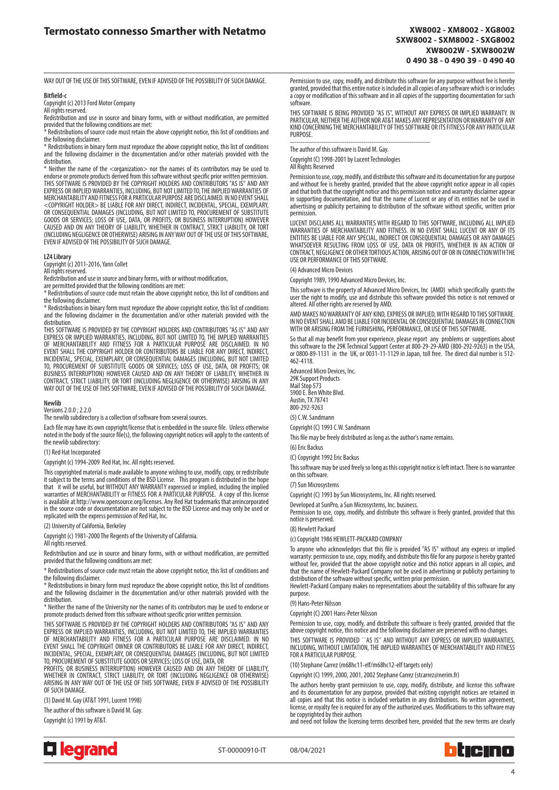WAY OUT OF THE USE OF THIS SOFTWARE, EVEN IF ADVISED OF THE POSSIBILITY OF SUCH DAMAGE.

#### **Bitfield-c**

Copyright (c) 2013 Ford Motor Company

All rights reserved. Redistribution and use in source and binary forms, with or without modification, are permitted

provided that the following conditions are met: \* Redistributions of source code must retain the above copyright notice, this list of conditions and the following disclaimer.

\* Redistributions in binary form must reproduce the above copyright notice, this list of conditions and the following disclaimer in the documentation and/or other materials provided with the distribution.

\* Neither the name of the <organization> nor the names of its contributors may be used to endorse or promote products derived from this software without specific prior written permission. THIS SOFTWARE IS PROVIDED BY THE COPYRIGHT HOLDERS AND CONTRIBUTORS "AS IS" AND ANY EXPRESS OR IMPLIED WARRANTIES, INCLUDING, BUT NOT LIMITED TO, THE IMPLIED WARRANTIES OF<br>MERCHANTABILITY AND FITNESS FOR A PARTICULAR PURPOSE ARE DISCLAIMED. IN NO EVENT SHALL <COPYRIGHT HOLDER> BE LIABLE FOR ANY DIRECT, INDIRECT, INCIDENTAL, SPECIAL, EXEMPLARY, OR CONSEQUENTIAL DAMAGES (INCLUDING, BUT NOT LIMITED TO, PROCUREMENT OF SUBSTITUTE<br>GOODS OR SERVICES; LOSS OF USE, DATA, OR PROFITS; OR BUSINESS INTERRUPTION) HOWEVER<br>CAUSED AND ON ANY THEORY OF LIABILITY, WHETHER IN CONTR (INCLUDING NEGLIGENCE OR OTHERWISE) ARISING IN ANY WAY OUT OF THE USE OF THIS SOFTWARE, EVEN IF ADVISED OF THE POSSIBILITY OF SUCH DAMAGE.

#### **LZ4 Library**

Copyright (c) 2011-2016, Yann Collet

All rights reserved.

Redistribution and use in source and binary forms, with or without modification,

are permitted provided that the following conditions are met: \* Redistributions of source code must retain the above copyright notice, this list of conditions and the following disclaimer.

\* Redistributions in binary form must reproduce the above copyright notice, this list of conditions and the following disclaimer in the documentation and/or other materials provided with the distribution.

THIS SOFTWARE IS PROVIDED BY THE COPYRIGHT HOLDERS AND CONTRIBUTORS "AS IS" AND ANY EXPRESS OR IMPLIED WARRANTIES, INCLUDING, BUT NOT LIMITED TO, THE IMPLIED WARRANTIES OF MERCHANTABILITY AND FITNESS FOR A PARTICULAR PURPOSE ARE DISCLAIMED. IN NO EVENT SHALL THE COPYRIGHT HOLDER OR CONTRIBUTORS BE LIABLE FOR ANY DIRECT, INDIRECT,<br>INCIDENTAL, SPECIAL, EXEMPLARY, OR CONSEQUENTIAL DAMAGES (INCLUDING, BUT NOT LIMITED<br>TO, PROCUREMENT OF SUBSTITUTE GOODS OR SERVICES; LOS BUSINESS INTERRUPTION) HOWEVER CAUSED AND ON ANY THEORY OF LIABILITY, WHETHER IN CONTRACT, STRICT LIABILITY, OR TORT (INCLUDING NEGLIGENCE OR OTHERWISE) ARISING IN ANY WAY OUT OF THE USE OF THIS SOFTWARE, EVEN IF ADVISED OF THE POSSIBILITY OF SUCH DAMAGE.

#### **Newlib**

Versions 2.0.0 ; 2.2.0

The newlib subdirectory is a collection of software from several sources.

Each file may have its own copyright/license that is embedded in the source file. Unless otherwise noted in the body of the source file(s), the following copyright notices will apply to the contents of the newlib subdirectory:

#### (1) Red Hat Incorporated

Copyright (c) 1994-2009 Red Hat, Inc. All rights reserved.

This copyrighted material is made available to anyone wishing to use, modify, copy, or redistribute it subject to the terms and conditions of the BSD License. This program is distributed in the hope that it will be useful, but WITHOUT ANY WARRANTY expressed or implied, including the implied warranties of MERCHANTABILITY or FITNESS FOR A PARTICULAR PURPOSE. A copy of this license is available at http://www.opensource.org/licenses. Any Red Hat trademarks that areincorporated in the source code or documentation are not subject to the BSD License and may only be used or replicated with the express permission of Red Hat, Inc.

(2) University of California, Berkeley

Copyright (c) 1981-2000 The Regents of the University of California.

All rights reserved.

Redistribution and use in source and binary forms, with or without modification, are permitted provided that the following conditions are met:

\* Redistributions of source code must retain the above copyright notice, this list of conditions and the following disclaimer.

\* Redistributions in binary form must reproduce the above copyright notice, this list of conditions and the following disclaimer in the documentation and/or other materials provided with the distribution.

\* Neither the name of the University nor the names of its contributors may be used to endorse or promote products derived from this software without specific prior written permission

THIS SOFTWARE IS PROVIDED BY THE COPYRIGHT HOLDERS AND CONTRIBUTORS "AS IS" AND ANY EXPRESS OR IMPLIED WARRANTIES, INCLUDING, BUT NOT LIMITED TO, THE IMPLIED WARRANTIES OF MERCHANTABILITY AND FITNESS FOR A PARTICULAR PURPOSE ARE DISCLAIMED. IN NO EVENT SHALL THE COPYRIGHT OWNER OR CONTRIBUTORS BE LIABLE FOR ANY DIRECT, INDIRECT, INCIDENTAL, SPECIAL, EXEMPLARY, OR CONSEQUENTIAL DAMAGES (INCLUDING, BUT NOT LIMITED TO, PROCUREMENT OF SUBSTITUTE GOODS OR SERVICES; LOSS OF USE, DATA, OR

PROFITS; OR BUSINESS INTERRUPTION) HOWEVER CAUSED AND ON ANY THEORY OF LIABILITY, WHETHER IN CONTRACT, STRICT LIABILITY, OR TORT (INCLUDING NEGLIGENCE OR OTHERWISE) ARISING IN ANY WAY OUT OF THE USE OF THIS SOFTWARE, EVEN IF ADVISED OF THE POSSIBILITY OF SUCH DAMAGE.

(3) David M. Gay (AT&T 1991, Lucent 1998)

The author of this software is David M. Gay.

Copyright (c) 1991 by AT&T.



Permission to use, copy, modify, and distribute this software for any purpose without fee is hereby granted, provided that this entire notice is included in all copies of any software which is or includes a copy or modification of this software and in all copies of the supporting documentation for such software.

THIS SOFTWARE IS BEING PROVIDED "AS IS", WITHOUT ANY EXPRESS OR IMPLIED WARRANTY. IN PARTICULAR, NEITHER THE AUTHOR NOR AT&T MAKES ANY REPRESENTATION OR WARRANTY OF ANY KIND CONCERNING THE MERCHANTABILITY OF THIS SOFTWARE OR ITS FITNESS FOR ANY PARTICULAR **PURPOSE** 

------------------------------------------------------------------- The author of this software is David M. Gay.

Copyright (C) 1998-2001 by Lucent Technologies

All Rights Reserved

Permission to use, copy, modify, and distribute this software and its documentation for any purpose and without fee is hereby granted, provided that the above copyright notice appear in all copies and that both that the copyright notice and this permission notice and warranty disclaimer appear in supporting documentation, and that the name of Lucent or any of its entities not be used in advertising or publicity pertaining to distribution of the software without specific, written prior permission.

LUCENT DISCLAIMS ALL WARRANTIES WITH REGARD TO THIS SOFTWARE, INCLUDING ALL IMPLIED<br>WARRANTIES OF MERCHANTABILITY AND FITNESS. IN NO EVENT SHALL LUCENT OR ANY OF ITS<br>ENTITIES BE LIABLE FOR ANY SPECIAL, INDIRECT OR CONSEQUE WHATSOEVER RESULTING FROM LOSS OF USE, DATA OR PROFITS, WHETHER IN AN ACTION OF CONTRACT, NEGLIGENCE OR OTHER TORTIOUS ACTION, ARISING OUT OF OR IN CONNECTION WITH THE USE OR PERFORMANCE OF THIS SOFTWARE.

(4) Advanced Micro Devices

Copyright 1989, 1990 Advanced Micro Devices, Inc.

This software is the property of Advanced Micro Devices, Inc (AMD) which specifically grants the user the right to modify, use and distribute this software provided this notice is not removed or altered. All other rights are reserved by AMD.

AMD MAKES NO WARRANTY OF ANY KIND, EXPRESS OR IMPLIED, WITH REGARD TO THIS SOFTWARE. IN NO EVENT SHALL AMD BE LIABLE FOR INCIDENTAL OR CONSEQUENTIAL DAMAGES IN CONNECTION WITH OR ARISING FROM THE FURNISHING, PERFORMANCE, OR USE OF THIS SOFTWARE.

So that all may benefit from your experience, please report any problems or suggestions about<br>this software to the 29K Technical Support Center at 800-29-29-AMD (800-292-9263) in the USA,<br>or 0800-89-1131 in the UK, o 462-4118.

Advanced Micro Devices, Inc. 29K Support Products

Mail Stop 573 5900 E. Ben White Blvd. Austin, TX 78741 800-292-9263

(5) C.W. Sandmann

Copyright (C) 1993 C.W. Sandmann

This file may be freely distributed as long as the author's name remains.

(6) Eric Backus

(C) Copyright 1992 Eric Backus

This software may be used freely so long as this copyright notice is left intact. There is no warrantee on this software.

#### (7) Sun Microsystems

Copyright (C) 1993 by Sun Microsystems, Inc. All rights reserved.

Developed at SunPro, a Sun Microsystems, Inc. business. Permission to use, copy, modify, and distribute this software is freely granted, provided that this notice is preserved.

(8) Hewlett Packard

(c) Copyright 1986 HEWLETT-PACKARD COMPANY

To anyone who acknowledges that this file is provided "AS IS" without any express or implied warranty: permission to use, copy, modify, and distribute this file for any purpose is hereby granted without fee, provided that the above copyright notice and this notice appears in all copies, and that the name of Hewlett-Packard Company not be used in advertising or publicity pertaining to

distribution of the software without specific, written prior permission. Hewlett-Packard Company makes no representations about the suitability of this software for any purpose.

### (9) Hans-Peter Nilsson

Copyright (C) 2001 Hans-Peter Nilsson

Permission to use, copy, modify, and distribute this software is freely granted, provided that the above copyright notice, this notice and the following disclaimer are preserved with no changes.

THIS SOFTWARE IS PROVIDED ``AS IS" AND WITHOUT ANY EXPRESS OR IMPLIED WARRANTIES, INCLUDING, WITHOUT LIMITATION, THE IMPLIED WARRANTIES OF MERCHANTABILITY AND FITNESS FOR A PARTICULAR PURPOSE.

(10) Stephane Carrez (m68hc11-elf/m68hc12-elf targets only)

Copyright (C) 1999, 2000, 2001, 2002 Stephane Carrez (stcarrez@nerim.fr)

The authors hereby grant permission to use, copy, modify, distribute, and license this software and its documentation for any purpose, provided that existing copyright notices are retained in all copies and that this notice is included verbatim in any distributions. No written agreement, license, or royalty fee is required for any of the authorized uses. Modifications to this software may be copyrighted by their authors

and need not follow the licensing terms described here, provided that the new terms are clearly



ST-00000910-IT 08/04/2021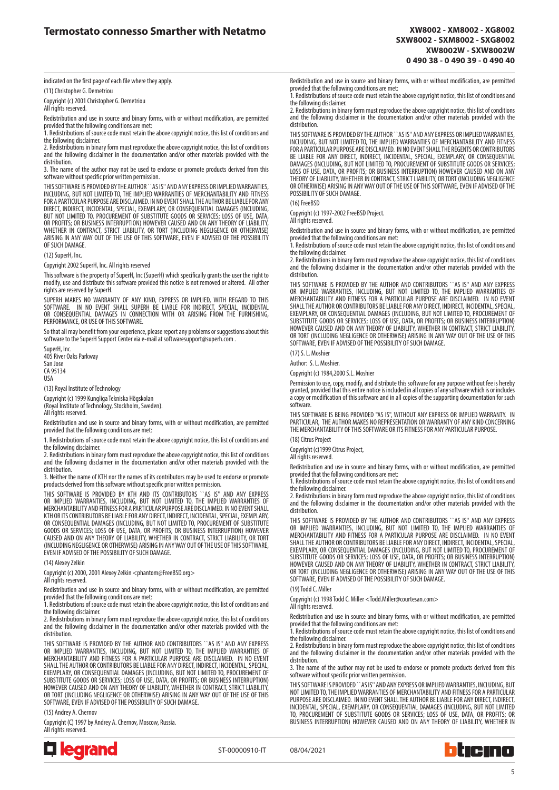indicated on the first page of each file where they apply.

(11) Christopher G. Demetriou

Copyright (c) 2001 Christopher G. Demetriou All rights reserved.

Redistribution and use in source and binary forms, with or without modification, are permitted provided that the following conditions are met: 1. Redistributions of source code must retain the above copyright notice, this list of conditions and

the following disclaimer.

2. Redistributions in binary form must reproduce the above copyright notice, this list of conditions and the following disclaimer in the documentation and/or other materials provided with the distribution.

3. The name of the author may not be used to endorse or promote products derived from this software without specific prior written permission.

THIS SOFTWARE IS PROVIDED BY THE AUTHOR ``AS IS'' AND ANY EXPRESS OR IMPLIED WARRANTIES, INCLUDING, BUT NOT LIMITED TO, THE IMPLIED WARRANTIES OF MERCHANTABILITY AND FITNESS<br>FOR A PARTICULAR PURPOSE ARE DISCLAIMED. IN NO EVENT SHALL THE AUTHOR BE LIABLE FOR ANY<br>DIRECT, INDIRECT, INCIDENTAL, SPECIAL, EXEMPLARY, BUT NOT LIMITED TO, PROCUREMENT OF SUBSTITUTE GOODS OR SERVICES; LOSS OF USE, DATA, OR PROFITS; OR BUSINESS INTERRUPTION) HOWEVER CAUSED AND ON ANY THEORY OF LIABILITY, WHETHER IN CONTRACT, STRICT LIABILITY, OR TORT (INCLUDING NEGLIGENCE OR OTHERWISE) ARISING IN ANY WAY OUT OF THE USE OF THIS SOFTWARE, EVEN IF ADVISED OF THE POSSIBILITY OF SUCH DAMAGE.

#### (12) SuperH, Inc.

Copyright 2002 SuperH, Inc. All rights reserved

This software is the property of SuperH, Inc (SuperH) which specifically grants the user the right to modify, use and distribute this software provided this notice is not removed or altered. All other rights are reserved by SuperH.

SUPERH MAKES NO WARRANTY OF ANY KIND, EXPRESS OR IMPLIED, WITH REGARD TO THIS<br>SOFTWARE. IN NO EVENT SHALL SUPERH BE LIABLE FOR INDIRECT, SPECIAL, INCIDENTAL<br>OR CONSEQUENTIAL DAMAGES IN CONNECTION WITH OR ARISING FROM THE PERFORMANCE, OR USE OF THIS SOFTWARE.

So that all may benefit from your experience, please report any problems or suggestions about this software to the SuperH Support Center via e-mail at softwaresupport@superh.com .

SuperH, Inc. 405 River Oaks Parkway San Jose CA 95134 USA

(13) Royal Institute of Technology

Copyright (c) 1999 Kungliga Tekniska Högskolan (Royal Institute of Technology, Stockholm, Sweden). All rights reserved.

Redistribution and use in source and binary forms, with or without modification, are permitted provided that the following conditions are met:

1. Redistributions of source code must retain the above copyright notice, this list of conditions and the following disclaimer.

2. Redistributions in binary form must reproduce the above copyright notice, this list of conditions and the following disclaimer in the documentation and/or other materials provided with the distribution.

3. Neither the name of KTH nor the names of its contributors may be used to endorse or promote products derived from this software without specific prior written permission.

THIS SOFTWARE IS PROVIDED BY KTH AND ITS CONTRIBUTORS ``AS IS'' AND ANY EXPRESS<br>OR IMPLIED WARRANTIES, INCLUDING, BUT NOT LIMITED TO, THE IMPLIED WARRANTIES OF<br>MERCHANTABILITYANDFITNESSFORAPARTICULARPURPOSEAREDISCLAIMED.IN KTH OR ITS CONTRIBUTORS BE LIABLE FOR ANY DIRECT, INDIRECT, INCIDENTAL, SPECIAL, EXEMPLARY, OR CONSEQUENTIAL DAMAGES (INCLUDING, BUT NOT LIMITED TO, PROCUREMENT OF SUBSTITUTE GOODS OR SERVICES; LOSS OF USE, DATA, OR PROFITS; OR BUSINESS INTERRUPTION) HOWEVER CAUSED AND ON ANY THEORY OF LIABILITY, WHETHER IN CONTRACT, STRICT LIABILITY, OR TORT (INCLUDING NEGLIGENCE OR OTHERWISE) ARISING IN ANY WAY OUT OF THE USE OF THIS SOFTWARE, EVEN IF ADVISED OF THE POSSIBILITY OF SUCH DAMAGE.

(14) Alexey Zelkin

Copyright (c) 2000, 2001 Alexey Zelkin <phantom@FreeBSD.org>

All rights reserved

Redistribution and use in source and binary forms, with or without modification, are permitted provided that the following conditions are met:

1. Redistributions of source code must retain the above copyright notice, this list of conditions and the following disclaimer.

2. Redistributions in binary form must reproduce the above copyright notice, this list of conditions and the following disclaimer in the documentation and/or other materials provided with the distribution.

THIS SOFTWARE IS PROVIDED BY THE AUTHOR AND CONTRIBUTORS ``AS IS'' AND ANY EXPRESS OR IMPLIED WARRANTIES, INCLUDING, BUT NOT LIMITED TO, THE IMPLIED WARRANTIES OF MERCHANTABILITY AND FITNESS FOR A PARTICULAR PURPOSE ARE DISCLAIMED. IN NO EVENT SHALL THE AUTHOR OR CONTRIBUTORS BE LIABLE FOR ANY DIRECT, INDIRECT, INCIDENTAL, SPECIAL,<br>EXEMPLARY, OR CONSEQUENTIAL DAMAGES (INCLUDING, BUT NOT LIMITED TO, PROCUREMENT OF<br>SUBSTITUTE GOODS OR SERVICES; LOSS OF USE, DATA, OR TORT (INCLUDING NEGLIGENCE OR OTHERWISE) ARISING IN ANY WAY OUT OF THE USE OF THIS SOFTWARE, EVEN IF ADVISED OF THE POSSIBILITY OF SUCH DAMAGE.

(15) Andrey A. Chernov

Copyright (C) 1997 by Andrey A. Chernov, Moscow, Russia. All rights reserved.



Redistribution and use in source and binary forms, with or without modification, are permitted provided that the following conditions are met:

1. Redistributions of source code must retain the above copyright notice, this list of conditions and the following disclaimer.

2. Redistributions in binary form must reproduce the above copyright notice, this list of conditions and the following disclaimer in the documentation and/or other materials provided with the distribution.

THIS SOFTWARE IS PROVIDED BY THE AUTHOR ``AS IS'' AND ANY EXPRESS OR IMPLIED WARRANTIES, INCLUDING, BUT NOT LIMITED TO, THE IMPLIED WARRANTIES OF MERCHANTABILITY AND FITNESS FOR A PARTICULAR PURPOSE ARE DISCLAIMED. IN NO EVENT SHALL THE REGENTS OR CONTRIBUTORS<br>BE LIABLE FOR ANY DIRECT, INDIRECT, INCIDENTAL, SPECIAL, EXEMPLARY, OR CONSEQUENTIAL<br>DAMAGES (INCLUDING, BUT NOT LIMITED TO, LOSS OF USE, DATA, OR PROFITS; OR BUSINESS INTERRUPTION) HOWEVER CAUSED AND ON ANY THEORY OF LIABILITY, WHETHER IN CONTRACT, STRICT LIABILITY, OR TORT (INCLUDING NEGLIGENCE OR OTHERWISE) ARISING IN ANY WAY OUT OF THE USE OF THIS SOFTWARE, EVEN IF ADVISED OF THE POSSIBILITY OF SUCH DAMAGE.

(16) FreeBSD

Copyright (c) 1997-2002 FreeBSD Project.

All rights reserved.

Redistribution and use in source and binary forms, with or without modification, are permitted provided that the following conditions are met: 1. Redistributions of source code must retain the above copyright notice, this list of conditions and

the following disclaimer.

2. Redistributions in binary form must reproduce the above copyright notice, this list of conditions and the following disclaimer in the documentation and/or other materials provided with the distribution.

THIS SOFTWARE IS PROVIDED BY THE AUTHOR AND CONTRIBUTORS ``AS IS'' AND ANY EXPRESS OR IMPLIED WARRANTIES, INCLUDING, BUT NOT LIMITED TO, THE IMPLIED WARRANTIES OF<br>MERCHANTABILITY AND FITNESS FOR A PARTICULAR PURPOSE ARE DISCLAIMED. IN NO EVENT<br>SHALLTHE AUTHOR OR CONTRIBUTORS BE LIABLE FOR ANY DIRECT, IND EXEMPLARY, OR CONSEQUENTIAL DAMAGES (INCLUDING, BUT NOT LIMITED TO, PROCUREMENT OF SUBSTITUTE GOODS OR SERVICES; LOSS OF USE, DATA, OR PROFITS; OR BUSINESS INTERRUPTION)<br>HOWEVER CAUSED AND ON ANY THEORY OF LIABILITY, WHETHER IN CONTRACT, STRICT LIABILITY,<br>OR TORT (INCLUDING NEGLIGENCE OR OTHERWISE) ARISI

(17) S. L. Moshier

Author: S. L. Moshier.

Copyright (c) 1984,2000 S.L. Moshier

Permission to use, copy, modify, and distribute this software for any purpose without fee is hereby granted, provided that this entire notice is included in all copies of any software which is or includes a copy or modification of this software and in all copies of the supporting documentation for such software.

THIS SOFTWARE IS BEING PROVIDED "AS IS", WITHOUT ANY EXPRESS OR IMPLIED WARRANTY. IN PARTICULAR, THE AUTHOR MAKES NO REPRESENTATION OR WARRANTY OF ANY KIND CONCERNING THE MERCHANTABILITY OF THIS SOFTWARE OR ITS FITNESS FOR ANY PARTICULAR PURPOSE.

(18) Citrus Project

Copyright (c)1999 Citrus Project,

All rights reserved.

Redistribution and use in source and binary forms, with or without modification, are permitted provided that the following conditions are met:

1. Redistributions of source code must retain the above copyright notice, this list of conditions and the following disclaimer.

2. Redistributions in binary form must reproduce the above copyright notice, this list of conditions and the following disclaimer in the documentation and/or other materials provided with the distribution.

THIS SOFTWARE IS PROVIDED BY THE AUTHOR AND CONTRIBUTORS ``AS IS'' AND ANY EXPRESS<br>OR IMPLIED WARRANTIES, INCLUDING, BUT NOT LIMITED TO, THE IMPLIED WARRANTIES OF<br>MERCHANTABILITY AND FITNESS FOR A PARTICULAR PURPOSE ARE DI SHALL THE AUTHOR OR CONTRIBUTORS BE LIABLE FOR ANY DIRECT, INDIRECT, INCIDENTAL, SPECIAL, EXEMPLARY, OR CONSEQUENTIAL DAMAGES (INCLUDING, BUT NOT LIMITED TO, PROCUREMENT OF SUBSTITUTE GOODS OR SERVICES; LOSS OF USE, DATA, OR PROFITS; OR BUSINESS INTERRUPTION) HOWEVER CAUSED AND ON ANY THEORY OF LIABILITY, WHETHER IN CONTRACT, STRICT LIABILITY, OR TORT (INCLUDING NEGLIGENCE OR OTHERWISE) ARISING IN ANY WAY OUT OF THE USE OF THIS SOFTWARE, EVEN IF ADVISED OF THE POSSIBILITY OF SUCH DAMAGE.

(19) Todd C. Miller

Copyright (c) 1998 Todd C. Miller <Todd.Miller@courtesan.com>

All rights reserved.

Redistribution and use in source and binary forms, with or without modification, are permitted provided that the following conditions are met:

1. Redistributions of source code must retain the above copyright notice, this list of conditions and the following disclaimer.

2. Redistributions in binary form must reproduce the above copyright notice, this list of conditions and the following disclaimer in the documentation and/or other materials provided with the distribution.

3. The name of the author may not be used to endorse or promote products derived from this software without specific prior written permission.

THIS SOFTWARE IS PROVIDED ``AS IS'' AND ANY EXPRESS OR IMPLIED WARRANTIES, INCLUDING, BUT NOT LIMITED TO, THE IMPLIED WARRANTIES OF MERCHANTABILITY AND FITNESS FOR A PARTICULAR PURPOSE ARE DISCLAIMED. IN NO EVENT SHALL THE AUTHOR BE LIABLE FOR ANY DIRECT, INDIRECT, INCIDENTAL, SPECIAL, EXEMPLARY, OR CONSEQUENTIAL DAMAGES (INCLUDING, BUT NOT LIMITED<br>TO, PROCUREMENT OF SUBSTITUTE GOODS OR SERVICES; LOSS OF USE, DATA, OR PROFITS; OR BUSINESS INTERRUPTION) HOWEVER CAUSED AND ON ANY THEORY OF LIABILITY, WHETHER IN

ST-00000910-IT 08/04/2021

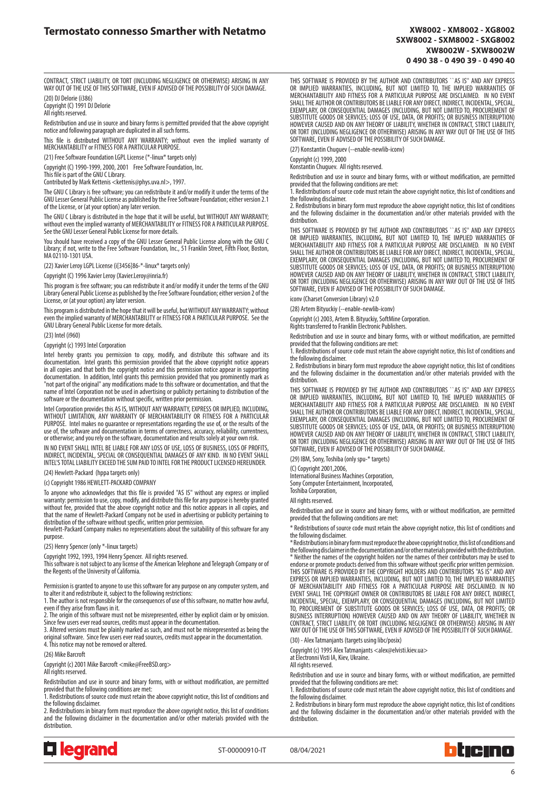CONTRACT, STRICT LIABILITY, OR TORT (INCLUDING NEGLIGENCE OR OTHERWISE) ARISING IN ANY WAY OUT OF THE USE OF THIS SOFTWARE, EVEN IF ADVISED OF THE POSSIBILITY OF SUCH DAMAGE. (20) DJ Delorie (i386)

Copyright (C) 1991 DJ Delorie All rights reserved.

Redistribution and use in source and binary forms is permitted provided that the above copyright notice and following paragraph are duplicated in all such forms.

This file is distributed WITHOUT ANY WARRANTY; without even the implied warranty of MERCHANTABILITY or FITNESS FOR A PARTICULAR PURPOSE.

(21) Free Software Foundation LGPL License (\*-linux\* targets only)

Copyright (C) 1990-1999, 2000, 2001 Free Software Foundation, Inc.

This file is part of the GNU C Library. Contributed by Mark Kettenis <kettenis@phys.uva.nl>, 1997.

The GNU C Library is free software; you can redistribute it and/or modify it under the terms of the GNU Lesser General Public License as published by the Free Software Foundation; either version 2.1 of the License, or (at your option) any later version.

The GNU C Library is distributed in the hope that it will be useful, but WITHOUT ANY WARRANTY; without even the implied warranty of MERCHANTABILITY or FITNESS FOR A PARTICULAR PURPOSE. See the GNU Lesser General Public License for more details.

You should have received a copy of the GNU Lesser General Public License along with the GNU C Library; if not, write to the Free Software Foundation, Inc., 51 Franklin Street, Fifth Floor, Boston, MA 02110-1301 USA.

(22) Xavier Leroy LGPL License (i[3456]86-\*-linux\* targets only)

Copyright (C) 1996 Xavier Leroy (Xavier.Leroy@inria.fr)

This program is free software; you can redistribute it and/or modify it under the terms of the GNU Library General Public License as published by the Free Software Foundation; either version 2 of the License, or (at your option) any later version.

This program is distributed in the hope that it will be useful, but WITHOUT ANY WARRANTY; without even the implied warranty of MERCHANTABILITY or FITNESS FOR A PARTICULAR PURPOSE. See the GNU Library General Public License for more details.

(23) Intel (i960)

## Copyright (c) 1993 Intel Corporation

Intel hereby grants you permission to copy, modify, and distribute this software and its documentation. Intel grants this permission provided that the above copyright notice appears in all copies and that both the copyright notice and this permission notice appear in supporting<br>documentation. In addition, Intel grants this permission provided that you prominently mark as<br>"not part of the original" an name of Intel Corporation not be used in advertising or publicity pertaining to distribution of the software or the documentation without specific, written prior permission.

Intel Corporation provides this AS IS, WITHOUT ANY WARRANTY, EXPRESS OR IMPLIED, INCLUDING, WITHOUT LIMITATION, ANY WARRANTY OF MERCHANTABILITY OR FITNESS FOR A PARTICULAR PURPOSE. Intel makes no guarantee or representations regarding the use of, or the results of the use of, the software and documentation in terms of correctness, accuracy, reliability, currentness, or otherwise; and you rely on the software, documentation and results solely at your own risk.

IN NO EVENT SHALL INTEL BE LIABLE FOR ANY LOSS OF USE, LOSS OF BUSINESS, LOSS OF PROFITS, INDIRECT, INCIDENTAL, SPECIAL OR CONSEQUENTIAL DAMAGES OF ANY KIND. IN NO EVENT SHALL INTEL'S TOTAL LIABILITY EXCEED THE SUM PAID TO INTEL FOR THE PRODUCT LICENSED HEREUNDER. (24) Hewlett-Packard (hppa targets only)

(c) Copyright 1986 HEWLETT-PACKARD COMPANY

To anyone who acknowledges that this file is provided "AS IS" without any express or implied warranty: permission to use, copy, modify, and distribute this file for any purpose is hereby granted without fee, provided that the above copyright notice and this notice appears in all copies, and that the name of Hewlett-Packard Company not be used in advertising or publicity pertaining to

distribution of the software without specific, written prior permission. Hewlett-Packard Company makes no representations about the suitability of this software for any purpose

(25) Henry Spencer (only \*-linux targets)

Copyright 1992, 1993, 1994 Henry Spencer. All rights reserved. This software is not subject to any license of the American Telephone and Telegraph Company or of the Regents of the University of California.

Permission is granted to anyone to use this software for any purpose on any computer system, and to alter it and redistribute it, subject to the following restrictions:

1. The author is not responsible for the consequences of use of this software, no matter how awful, even if they arise from flaws in it.

2. The origin of this software must not be misrepresented, either by explicit claim or by omission.

Since few users ever read sources, credits must appear in the documentation. 3. Altered versions must be plainly marked as such, and must not be misrepresented as being the original software. Since few users ever read sources, credits must appear in the documentation. 4. This notice may not be removed or altered.

(26) Mike Barcroft

Copyright (c) 2001 Mike Barcroft <mike@FreeBSD.org>

All rights reserved.

Redistribution and use in source and binary forms, with or without modification, are permitted provided that the following conditions are met:

1. Redistributions of source code must retain the above copyright notice, this list of conditions and the following disclaimer.

2. Redistributions in binary form must reproduce the above copyright notice, this list of conditions and the following disclaimer in the documentation and/or other materials provided with the distribution.



ST-00000910-IT 08/04/2021

THIS SOFTWARE IS PROVIDED BY THE AUTHOR AND CONTRIBUTORS ``AS IS'' AND ANY EXPRESS<br>OR IMPLIED WARRANTIES, INCLUDING, BUT NOT LIMITED TO, THE IMPLIED WARRANTIES OF<br>MERCHANTABILITY AND FITNESS FOR A PARTICULAR PURPOSE ARE DI SHALL THE AUTHOR OR CONTRIBUTORS BE LIABLE FOR ANY DIRECT, INDIRECT, INCIDENTAL, SPECIAL, EXEMPLARY, OR CONSEQUENTIAL DAMAGES (INCLUDING, BUT NOT LIMITED TO, PROCUREMENT OF SUBSTITUTE GOODS OR SERVICES; LOSS OF USE, DATA, OR PROFITS; OR BUSINESS INTERRUPTION) HOWEVER CAUSED AND ON ANY THEORY OF LIABILITY, WHETHER IN CONTRACT, STRICT LIABILITY, OR TORT (INCLUDING NEGLIGENCE OR OTHERWISE) ARISING IN ANY WAY OUT OF THE USE OF THIS SOFTWARE, EVEN IF ADVISED OF THE POSSIBILITY OF SUCH DAMAGE.

(27) Konstantin Chuguev (--enable-newlib-iconv)

Copyright (c) 1999, 2000

Konstantin Chuguev. All rights reserved.

Redistribution and use in source and binary forms, with or without modification, are permitted provided that the following conditions are met:

1. Redistributions of source code must retain the above copyright notice, this list of conditions and the following disclaimer.

2. Redistributions in binary form must reproduce the above copyright notice, this list of conditions and the following disclaimer in the documentation and/or other materials provided with the distribution.

THIS SOFTWARE IS PROVIDED BY THE AUTHOR AND CONTRIBUTORS ``AS IS'' AND ANY EXPRESS<br>OR IMPLIED WARRANTIES, INCLUDING, BUT NOT LIMITED TO, THE IMPLIED WARRANTIES OF<br>MERCHANTABILITY AND FITNESS FOR A PARTICULAR PURPOSE ARE DI SHALL THE AUTHOR OR CONTRIBUTORS BE LIABLE FOR ANY DIRECT, INDIRECT, INCIDENTAL, SPECIAL, EXEMPLARY, OR CONSEQUENTIAL DAMAGES (INCLUDING, BUT NOT LIMITED TO, PROCUREMENT OF SUBSTITUTE GOODS OR SERVICES; LOSS OF USE, DATA, OR PROFITS; OR BUSINESS INTERRUPTION) HOWEVER CAUSED AND ON ANY THEORY OF LIABILITY, WHETHER IN CONTRACT, STRICT LIABILITY, OR TORT (INCLUDING NEGLIGENCE OR OTHERWISE) ARISING IN ANY WAY OUT OF THE USE OF THIS SOFTWARE, EVEN IF ADVISED OF THE POSSIBILITY OF SUCH DAMAGE.

iconv (Charset Conversion Library) v2.0

(28) Artem Bityuckiy (--enable-newlib-iconv)

Copyright (c) 2003, Artem B. Bityuckiy, SoftMine Corporation. Rights transferred to Franklin Electronic Publishers.

Redistribution and use in source and binary forms, with or without modification, are permitted

provided that the following conditions are met: 1. Redistributions of source code must retain the above copyright notice, this list of conditions and

the following disclaimer. 2. Redistributions in binary form must reproduce the above copyright notice, this list of conditions and the following disclaimer in the documentation and/or other materials provided with the distribution.

THIS SOFTWARE IS PROVIDED BY THE AUTHOR AND CONTRIBUTORS ``AS IS'' AND ANY EXPRESS OR IMPLIED WARRANTIES, INCLUDING, BUT NOT LIMITED TO, THE IMPLIED WARRANTIES OF MERCHANTABILITY AND FITNESS FOR A PARTICULAR PURPOSE ARE DISCLAIMED. IN NO EVENT SHALL THE AUTHOR OR CONTRIBUTORS BE LIABLE FOR ANY DIRECT, INDIRECT, INCIDENTAL, SPECIAL, EXEMPLARY, OR CONSEQUENTIAL DAMAGES (INCLUDING, BUT NOT LIMITED TO, PROCUREMENT OF SUBSTITUTE GOODS OR SERVICES; LOSS OF USE, DATA, OR PROFITS; OR BUSINESS INTERRUPTION) HOWEVER CAUSED AND ON ANY THEORY OF LIABILITY, WHETHER IN CONTRACT, STRICT LIABILITY, OR TORT (INCLUDING NEGLIGENCE OR OTHERWISE) ARISING IN ANY WAY OUT OF THE USE OF THIS SOFTWARE, EVEN IF ADVISED OF THE POSSIBILITY OF SUCH DAMAGE.

(29) IBM, Sony, Toshiba (only spu-\* targets)

(C) Copyright 2001,2006,

International Business Machines Corporation,

Sony Computer Entertainment, Incorporated, Toshiba Corporation,

All rights reserved

Redistribution and use in source and binary forms, with or without modification, are permitted provided that the following conditions are met:

\* Redistributions of source code must retain the above copyright notice, this list of conditions and the following disclaimer.

\* Redistributions in binary form must reproduce the above copyright notice, this list of conditions and the following disclaimer in the documentation and/or other materials provided with the distribution. \* Neither the names of the copyright holders nor the names of their contributors may be used to endorse or promote products derived from this software without specific prior written permission. THIS SOFTWARE IS PROVIDED BY THE COPYRIGHT HOLDERS AND CONTRIBUTORS "AS IS" AND ANY EXPRESS OR IMPLIED WARRANTIES, INCLUDING, BUT NOT LIMITED TO, THE IMPLIED WARRANTIES OF MERCHANTABILITY AND FITNESS FOR A PARTICULAR PURPOSE ARE DISCLAIMED. IN NO EVENT SHALL THE COPYRIGHT OWNER OR CONTRIBUTORS BE LIABLE FOR ANY DIRECT, INDIRECT, INCIDENTAL, SPECIAL, EXEMPLARY, OR CONSEQUENTIAL DAMAGES (INCLUDING, BUT NOT LIMITED TO, PROCUREMENT OF SUBSTITUTE GOODS OR SERVICES; LOSS OF USE, DATA, OR PROFITS; OR BUSINESS INTERRUPTION) HOWEVER CAUSED AND ON ANY THEORY OF LIABILITY, WHETHER IN CONTRACT, STRICT LIABILITY, OR TORT (INCLUDING NEGLIGENCE OR OTHERWISE) ARISING IN ANY WAY OUT OF THE USE OF THIS SOFTWARE, EVEN IF ADVISED OF THE POSSIBILITY OF SUCH DAMAGE.

(30) - Alex Tatmanjants (targets using libc/posix)

Copyright (c) 1995 Alex Tatmanjants <alex@elvisti.kiev.ua>

at Electronni Visti IA, Kiev, Ukraine.

All rights reserved.

Redistribution and use in source and binary forms, with or without modification, are permitted provided that the following conditions are met:

1. Redistributions of source code must retain the above copyright notice, this list of conditions and the following disclaimer.

2. Redistributions in binary form must reproduce the above copyright notice, this list of conditions and the following disclaimer in the documentation and/or other materials provided with the distribution.



6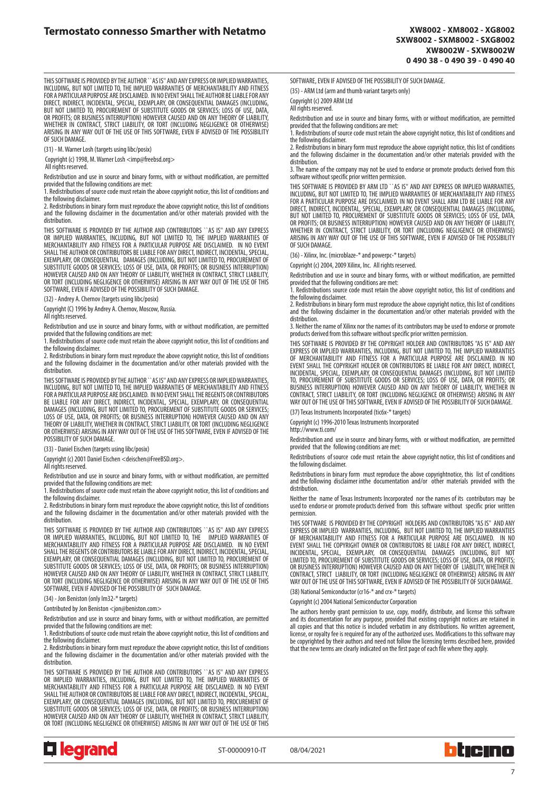THIS SOFTWARE IS PROVIDED BY THE AUTHOR ``AS IS'' AND ANY EXPRESS OR IMPLIED WARRANTIES,<br>INCLUDING, BUT NOT LIMITED TO, THE IMPLIED WARRANTIES OF MERCHANTABILITY AND FITNESS<br>FOR A PARTICULAR PURPOSE ARE DISCLAIMED. IN NO E DIRECT, INDIRECT, INCIDENTAL, SPECIAL, EXEMPLARY, OR CONSEQUENTIAL DAMAGES (INCLUDING, BUT NOT LIMITED TO, PROCUREMENT OF SUBSTITUTE GOODS OR SERVICES; LOSS OF USE, DATA, OR PROFITS; OR BUSINESS INTERRUPTION) HOWEVER CAUSED AND ON ANY THEORY OF LIABILITY, WHETHER IN CONTRACT, STRICT LIABILITY, OR TORT (INCLUDING NEGLIGENCE OR OTHERWISE) ARISING IN ANY WAY OUT OF THE USE OF THIS SOFTWARE, EVEN IF ADVISED OF THE POSSIBILITY OF SUCH DAMAGE.

(31) - M. Warner Losh (targets using libc/posix)

Copyright (c) 1998, M. Warner Losh <imp@freebsd.org>

All rights reserved.

Redistribution and use in source and binary forms, with or without modification, are permitted provided that the following conditions are met

1. Redistributions of source code must retain the above copyright notice, this list of conditions and the following disclaimer.

2. Redistributions in binary form must reproduce the above copyright notice, this list of conditions and the following disclaimer in the documentation and/or other materials provided with the distribution.

THIS SOFTWARE IS PROVIDED BY THE AUTHOR AND CONTRIBUTORS ``AS IS'' AND ANY EXPRESS<br>OR IMPLIED WARRANTIES, INCLUDING, BUT NOT LIMITED TO, THE IMPLIED WARRANTIES OF<br>MERCHANTABILITY AND FITNESS FOR A PARTICULAR PURPOSE ARE DI SHALL THE AUTHOR OR CONTRIBUTORS BE LIABLE FOR ANY DIRECT, INDIRECT, INCIDENTAL, SPECIAL, EXEMPLARY, OR CONSEQUENTIAL DAMAGES (INCLUDING, BUT NOT LIMITED TO, PROCUREMENT OF<br>SUBSTITUTE GOODS OR SERVICES; LOSS OF USE, DATA, OR PROFITS; OR BUSINESS INTERRUPTION)<br>HOWEVER CAUSED AND ON ANY THEORY OF LIABILITY, WHE OR TORT (INCLUDING NEGLIGENCE OR OTHERWISE) ARISING IN ANY WAY OUT OF THE USE OF THIS SOFTWARE, EVEN IF ADVISED OF THE POSSIBILITY OF SUCH DAMAGE.

(32) - Andrey A. Chernov (targets using libc/posix)

Copyright (C) 1996 by Andrey A. Chernov, Moscow, Russia.

All rights reserved.

Redistribution and use in source and binary forms, with or without modification, are permitted provided that the following conditions are met:

1. Redistributions of source code must retain the above copyright notice, this list of conditions and the following disclaimer.

2. Redistributions in binary form must reproduce the above copyright notice, this list of conditions and the following disclaimer in the documentation and/or other materials provided with the distribution.

THIS SOFTWARE IS PROVIDED BY THE AUTHOR ``AS IS'' AND ANY EXPRESS OR IMPLIED WARRANTIES, INCLUDING, BUT NOT LIMITED TO, THE IMPLIED WARRANTIES OF MERCHANTABILITY AND FITNESS FOR A PARTICULAR PURPOSE ARE DISCLAIMED. IN NO EVENT SHALL THE REGENTS OR CONTRIBUTORS BE LIABLE FOR ANY DIRECT, INDIRECT, INCIDENTAL, SPECIAL, EXEMPLARY, OR CONSEQUENTIAL<br>DAMAGES (INCLUDING, BUT NOT LIMITED TO, PROCUREMENT OF SUBSTITUTE GOODS OR SERVICES; LOSS OF USE, DATA, OR PROFITS; OR BUSINESS INTERRUPTION) HOWEVER CAUSED AND ON ANY THEORY OF LIABILITY, WHETHER IN CONTRACT, STRICT LIABILITY, OR TORT (INCLUDING NEGLIGENCE OR OTHERWISE) ARISING IN ANY WAY OUT OF THE USE OF THIS SOFTWARE, EVEN IF ADVISED OF THE POSSIBILITY OF SUCH DAMAGE.

(33) - Daniel Eischen (targets using libc/posix)

Copyright (c) 2001 Daniel Eischen <deischen@FreeBSD.org>.

All rights reserved.

Redistribution and use in source and binary forms, with or without modification, are permitted

provided that the following conditions are met: 1. Redistributions of source code must retain the above copyright notice, this list of conditions and the following disclaimer.

2. Redistributions in binary form must reproduce the above copyright notice, this list of conditions and the following disclaimer in the documentation and/or other materials provided with the distribution.

THIS SOFTWARE IS PROVIDED BY THE AUTHOR AND CONTRIBUTORS ``AS IS'' AND ANY EXPRESS OR IMPLIED WARRANTIES, INCLUDING, BUT NOT LIMITED TO, THE IMPLIED WARRANTIES OF MERCHANTABILITY AND FITNESS FOR A PARTICULAR PURPOSE ARE DISCLAIMED. IN NO EVENT SHALL THE REGENTS OR CONTRIBUTORS BE LIABLE FOR ANY DIRECT, INDIRECT, INCIDENTAL, SPECIAL,<br>EXEMPLARY, OR CONSEQUENTIAL DAMAGES (INCLUDING, BUT NOT LIMITED TO, PROCUREMENT OF<br>SUBSTITUTE GOODS OR SERVICES; LOSS OF USE, DATA, HOWEVER CAUSED AND ON ANY THEORY OF LIABILITY, WHETHER IN CONTRACT, STRICT LIABILITY, OR TORT (INCLUDING NEGLIGENCE OR OTHERWISE) ARISING IN ANY WAY OUT OF THE USE OF THIS SOFTWARE, EVEN IF ADVISED OF THE POSSIBILITY OF SUCH DAMAGE.

(34) - Jon Beniston (only lm32-\* targets)

Contributed by Jon Beniston <ion@beniston.com>

Redistribution and use in source and binary forms, with or without modification, are permitted provided that the following conditions are met:

1. Redistributions of source code must retain the above copyright notice, this list of conditions and the following disclaimer.

2. Redistributions in binary form must reproduce the above copyright notice, this list of conditions and the following disclaimer in the documentation and/or other materials provided with the distribution.

THIS SOFTWARE IS PROVIDED BY THE AUTHOR AND CONTRIBUTORS ``AS IS'' AND ANY EXPRESS<br>OR IMPLIED WARRANTIES, INCLUDING, BUT NOT LIMITED TO, THE IMPLIED WARRANTIES OF<br>MERCHANTABILITY AND FITNESS FOR A PARTICULAR PURPOSE ARE DI SHALL THE AUTHOR OR CONTRIBUTORS BE LIABLE FOR ANY DIRECT, INDIRECT, INCIDENTAL, SPECIAL,<br>EXEMPLARY, OR CONSEQUENTIAL DAMAGES (INCLUDING, BUT NOT LIMITED TO, PROCUREMENT OF<br>SUBSTITUTE GOODS OR SERVICES; LOSS OF USE, DATA, OR TORT (INCLUDING NEGLIGENCE OR OTHERWISE) ARISING IN ANY WAY OUT OF THE USE OF THIS



ST-00000910-IT 08/04/2021

hticino

SOFTWARE, EVEN IF ADVISED OF THE POSSIBILITY OF SUCH DAMAGE.

(35) - ARM Ltd (arm and thumb variant targets only)

Copyright (c) 2009 ARM Ltd All rights reserved.

Redistribution and use in source and binary forms, with or without modification, are permitted provided that the following conditions are met: 1. Redistributions of source code must retain the above copyright notice, this list of conditions and

the following disclaimer.

2. Redistributions in binary form must reproduce the above copyright notice, this list of conditions and the following disclaimer in the documentation and/or other materials provided with the distribution.

3. The name of the company may not be used to endorse or promote products derived from this software without specific prior written permission.

THIS SOFTWARE IS PROVIDED BY ARM LTD ``AS IS" AND ANY EXPRESS OR IMPLIED WARRANTIES,<br>INCLUDING, BUT NOT LIMITED TO, THE IMPLIED WARRANTIES OF MERCHANTABILITY AND FITNESS<br>FOR A PARTICULAR PURPOSE ARE DISCLAIMED. IN NO EVENT BUT NOT LIMITED TO, PROCUREMENT OF SUBSTITUTE GOODS OR SERVICES; LOSS OF USE, DATA, OR PROFITS; OR BUSINESS INTERRUPTION) HOWEVER CAUSED AND ON ANY THEORY OF LIABILITY, WHETHER IN CONTRACT, STRICT LIABILITY, OR TORT (INCLUDING NEGLIGENCE OR OTHERWISE) ARISING IN ANY WAY OUT OF THE USE OF THIS SOFTWARE, EVEN IF ADVISED OF THE POSSIBILITY OF SUCH DAMAGE.

(36) - Xilinx, Inc. (microblaze-\* and powerpc-\* targets)

Copyright (c) 2004, 2009 Xilinx, Inc. All rights reserved.

Redistribution and use in source and binary forms, with or without modification, are permitted provided that the following conditions are met:

1. Redistributions source code must retain the above copyright notice, this list of conditions and the following disclaimer.

2. Redistributions in binary form must reproduce the above copyright notice, this list of conditions and the following disclaimer in the documentation and/or other materials provided with the distribution.

3. Neither the name of Xilinx nor the names of its contributors may be used to endorse or promote products derived from this software without specific prior written permission.

THIS SOFTWARE IS PROVIDED BY THE COPYRIGHT HOLDER AND CONTRIBUTORS "AS IS" AND ANY EXPRESS OR IMPLIED WARRANTIES, INCLUDING, BUT NOT LIMITED TO, THE IMPLIED WARRANTIES<br>OF MERCHANTABILITY AND FITNESS FOR A PARTICULAR PURPOSE ARE DISCLAIMED. IN NO<br>EVENT SHALL THE COPYRIGHT HOLDER OR CONTRIBUTORS INCIDENTAL, SPECIAL, EXEMPLARY, OR CONSEQUENTIAL DAMAGES (INCLUDING, BUT NOT LIMITED<br>TO, PROCUREMENT OF SUBSTITUTE GOODS OR SERVICES; LOSS OF USE, DATA, OR PROFITS; OR<br>BUSINESS INTERRUPTION) HOWEVER CAUSED AND ON ANY THEOR CONTRACT, STRICT LIABILITY, OR TORT (INCLUDING NEGLIGENCE OR OTHERWISE) ARISING IN ANY WAY OUT OF THE USE OF THIS SOFTWARE, EVEN IF ADVISED OF THE POSSIBILITY OF SUCH DAMAGE.

(37) Texas Instruments Incorporated (tic6x-\* targets)

Copyright (c) 1996-2010 Texas Instruments Incorporated

http://www.ti.com/

Redistribution and use in source and binary forms, with or without modification, are permitted provided that the following conditions are met:

Redistributions of source code must retain the above copyright notice, this list of conditions and the following disclaimer.

Redistributions in binary form must reproduce the above copyrightnotice, this list of conditions and the following disclaimer inthe documentation and/or other materials provided with the distribution.

Neither the name of Texas Instruments Incorporated nor the names of its contributors may be used to endorse or promote products derived from this software without specific prior written permission.

THIS SOFTWARE IS PROVIDED BY THE COPYRIGHT HOLDERS AND CONTRIBUTORS "AS IS" AND ANY EXPRESS OR IMPLIED WARRANTIES, INCLUDING, BUT NOT LIMITED TO, THE IMPLIED WARRANTIES OF MERCHANTABILITY AND FITNESS FOR A PARTICULAR PURPOSE ARE DISCLAIMED. IN NO EVENT SHALL THE COPYRIGHT OWNER OR CONTRIBUTORS BE LIABLE FOR ANY DIRECT, INDIRECT, INCIDENTAL, SPECIAL, EXEMPLARY, OR CONSEQUENTIAL DAMAGES (INCLUDING, BUT NOT<br>LIMITED TO, PROCUREMENT OF SUBSTITUTE GOODS OR SERVICES; LOSS OF USE, DATA, OR PROFITS;<br>OR BUSINESS INTERRUPTION) HOWEVER CAUSED AND ON ANY CONTRACT, STRICT LIABILITY, OR TORT (INCLUDING NEGLIGENCE OR OTHERWISE) ARISING IN ANY WAY OUT OF THE USE OF THIS SOFTWARE, EVEN IF ADVISED OF THE POSSIBILITY OF SUCH DAMAGE.

(38) National Semiconductor (cr16-\* and crx-\* targets)

Copyright (c) 2004 National Semiconductor Corporation

The authors hereby grant permission to use, copy, modify, distribute, and license this software<br>and its documentation for any purpose, provided that existing copyright notices are retained in<br>all copies and that this notic license, or royalty fee is required for any of the authorized uses. Modifications to this software may be copyrighted by their authors and need not follow the licensing terms described here, provided that the new terms are clearly indicated on the first page of each file where they apply.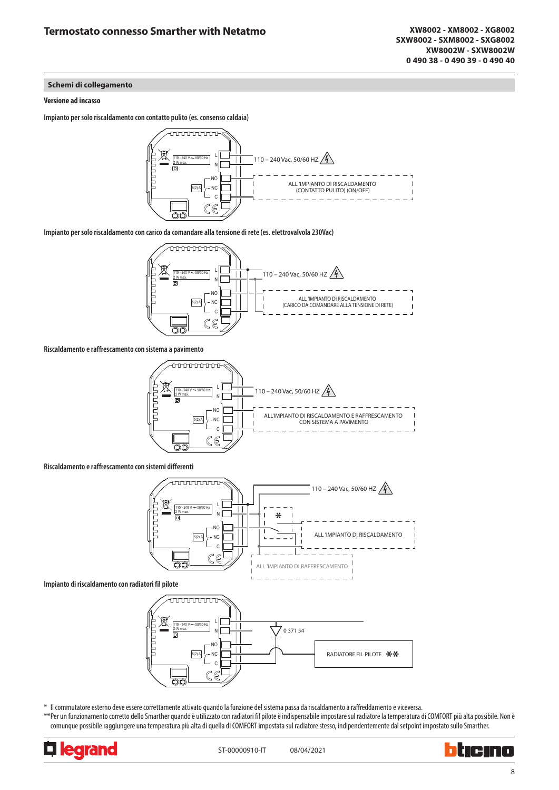# **Schemi di collegamento**

# **Versione ad incasso**

**Impianto per solo riscaldamento con contatto pulito (es. consenso caldaia)**



**Impianto per solo riscaldamento con carico da comandare alla tensione di rete (es. elettrovalvola 230Vac)**



**Riscaldamento e raffrescamento con sistema a pavimento**



**Riscaldamento e raffrescamento con sistemi differenti**



**Impianto di riscaldamento con radiatori fil pilote**



\* Il commutatore esterno deve essere correttamente attivato quando la funzione del sistema passa da riscaldamento a raffreddamento e viceversa.

\*\*Per un funzionamento corretto dello Smarther quando è utilizzato con radiatori fil pilote è indispensabile impostare sul radiatore la temperatura di COMFORT più alta possibile. Non è comunque possibile raggiungere una temperatura più alta di quella di COMFORT impostata sul radiatore stesso, indipendentemente dal setpoint impostato sullo Smarther.